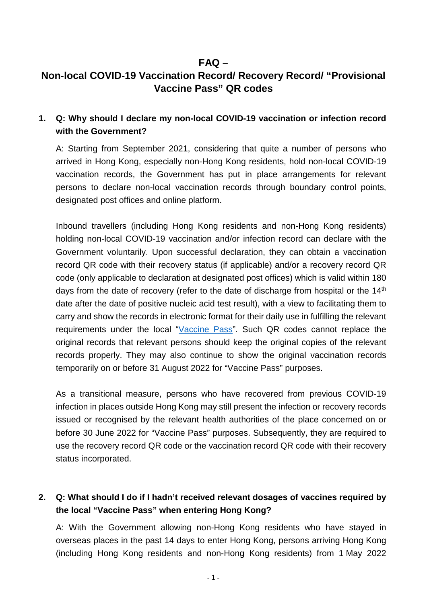### **FAQ –**

# **Non-local COVID-19 Vaccination Record/ Recovery Record/ "Provisional Vaccine Pass" QR codes**

### **1. Q: Why should I declare my non-local COVID-19 vaccination or infection record with the Government?**

A: Starting from September 2021, considering that quite a number of persons who arrived in Hong Kong, especially non-Hong Kong residents, hold non-local COVID-19 vaccination records, the Government has put in place arrangements for relevant persons to declare non-local vaccination records through boundary control points, designated post offices and online platform.

Inbound travellers (including Hong Kong residents and non-Hong Kong residents) holding non-local COVID-19 vaccination and/or infection record can declare with the Government voluntarily. Upon successful declaration, they can obtain a vaccination record QR code with their recovery status (if applicable) and/or a recovery record QR code (only applicable to declaration at designated post offices) which is valid within 180 days from the date of recovery (refer to the date of discharge from hospital or the 14<sup>th</sup> date after the date of positive nucleic acid test result), with a view to facilitating them to carry and show the records in electronic format for their daily use in fulfilling the relevant requirements under the local ["Vaccine Pass"](https://www.coronavirus.gov.hk/eng/vaccine-pass.html). Such QR codes cannot replace the original records that relevant persons should keep the original copies of the relevant records properly. They may also continue to show the original vaccination records temporarily on or before 31 August 2022 for "Vaccine Pass" purposes.

As a transitional measure, persons who have recovered from previous COVID-19 infection in places outside Hong Kong may still present the infection or recovery records issued or recognised by the relevant health authorities of the place concerned on or before 30 June 2022 for "Vaccine Pass" purposes. Subsequently, they are required to use the recovery record QR code or the vaccination record QR code with their recovery status incorporated.

## **2. Q: What should I do if I hadn't received relevant dosages of vaccines required by the local "Vaccine Pass" when entering Hong Kong?**

A: With the Government allowing non-Hong Kong residents who have stayed in overseas places in the past 14 days to enter Hong Kong, persons arriving Hong Kong (including Hong Kong residents and non-Hong Kong residents) from 1 May 2022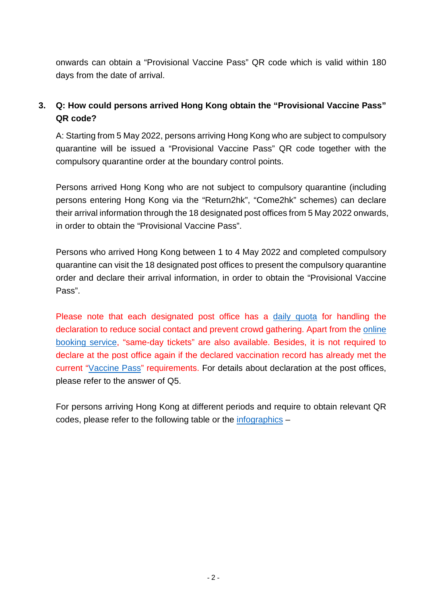onwards can obtain a "Provisional Vaccine Pass" QR code which is valid within 180 days from the date of arrival.

## **3. Q: How could persons arrived Hong Kong obtain the "Provisional Vaccine Pass" QR code?**

A: Starting from 5 May 2022, persons arriving Hong Kong who are subject to compulsory quarantine will be issued a "Provisional Vaccine Pass" QR code together with the compulsory quarantine order at the boundary control points.

Persons arrived Hong Kong who are not subject to compulsory quarantine (including persons entering Hong Kong via the "Return2hk", "Come2hk" schemes) can declare their arrival information through the 18 designated post offices from 5 May 2022 onwards, in order to obtain the "Provisional Vaccine Pass".

Persons who arrived Hong Kong between 1 to 4 May 2022 and completed compulsory quarantine can visit the 18 designated post offices to present the compulsory quarantine order and declare their arrival information, in order to obtain the "Provisional Vaccine Pass".

Please note that each designated post office has a daily [quota](https://www.hongkongpost.hk/en/services/non_local_covid19_vr/index.html) for handling the declaration to reduce social contact and prevent crowd gathering. Apart from the [online](https://obs.hongkongpost.hk/vaccPass/app)  [booking service,](https://obs.hongkongpost.hk/vaccPass/app) "same-day tickets" are also available. Besides, it is not required to declare at the post office again if the declared vaccination record has already met the current ["Vaccine Pass"](https://www.coronavirus.gov.hk/pdf/vp_t1_ENG.pdf) requirements. For details about declaration at the post offices, please refer to the answer of Q5.

For persons arriving Hong Kong at different periods and require to obtain relevant QR codes, please refer to the following table or the [infographics](https://www.covidvaccine.gov.hk/pdf/nonlocalvacc_ENG.pdf) –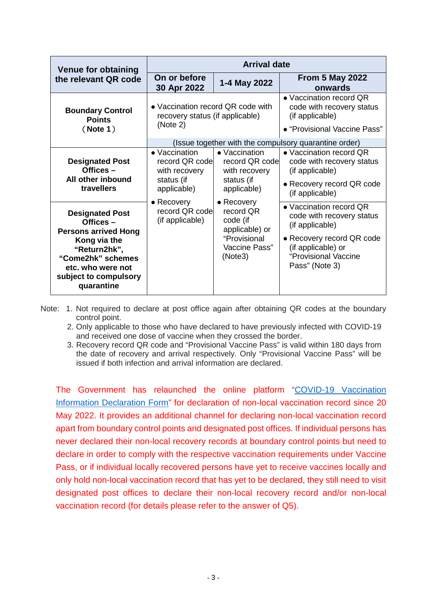| Venue for obtaining<br>the relevant QR code                                                                                                                                           | <b>Arrival date</b>                                                              |                                                                                                           |                                                                                                                                                                      |
|---------------------------------------------------------------------------------------------------------------------------------------------------------------------------------------|----------------------------------------------------------------------------------|-----------------------------------------------------------------------------------------------------------|----------------------------------------------------------------------------------------------------------------------------------------------------------------------|
|                                                                                                                                                                                       | On or before<br>30 Apr 2022                                                      | 1-4 May 2022                                                                                              | <b>From 5 May 2022</b><br>onwards                                                                                                                                    |
| <b>Boundary Control</b><br><b>Points</b><br>(Note 1)                                                                                                                                  | • Vaccination record QR code with<br>recovery status (if applicable)<br>(Note 2) |                                                                                                           | • Vaccination record QR<br>code with recovery status<br>(if applicable)<br>• "Provisional Vaccine Pass"                                                              |
|                                                                                                                                                                                       | (Issue together with the compulsory quarantine order)                            |                                                                                                           |                                                                                                                                                                      |
| <b>Designated Post</b><br>Offices $-$<br>All other inbound<br>travellers                                                                                                              | • Vaccination<br>record QR code<br>with recovery<br>status (if<br>applicable)    | • Vaccination<br>record QR code<br>with recovery<br>status (if<br>applicable)                             | • Vaccination record QR<br>code with recovery status<br>(if applicable)<br>• Recovery record QR code<br>(if applicable)                                              |
| <b>Designated Post</b><br>Offices $-$<br><b>Persons arrived Hong</b><br>Kong via the<br>"Return2hk",<br>"Come2hk" schemes<br>etc. who were not<br>subject to compulsory<br>quarantine | $\bullet$ Recovery<br>record QR code<br>(if applicable)                          | $\bullet$ Recovery<br>record QR<br>code (if<br>applicable) or<br>"Provisional<br>Vaccine Pass"<br>(Note3) | • Vaccination record QR<br>code with recovery status<br>(if applicable)<br>• Recovery record QR code<br>(if applicable) or<br>"Provisional Vaccine<br>Pass" (Note 3) |

Note: 1. Not required to declare at post office again after obtaining QR codes at the boundary control point.

2. Only applicable to those who have declared to have previously infected with COVID-19 and received one dose of vaccine when they crossed the border.

3. Recovery record QR code and "Provisional Vaccine Pass" is valid within 180 days from the date of recovery and arrival respectively. Only "Provisional Vaccine Pass" will be issued if both infection and arrival information are declared.

The Government has relaunched the online platform ["COVID-19 Vaccination](https://www.chp.gov.hk/vac-df/)  [Information Declaration Form"](https://www.chp.gov.hk/vac-df/) for declaration of non-local vaccination record since 20 May 2022. It provides an additional channel for declaring non-local vaccination record apart from boundary control points and designated post offices. If individual persons has never declared their non-local recovery records at boundary control points but need to declare in order to comply with the respective vaccination requirements under Vaccine Pass, or if individual locally recovered persons have yet to receive vaccines locally and only hold non-local vaccination record that has yet to be declared, they still need to visit designated post offices to declare their non-local recovery record and/or non-local vaccination record (for details please refer to the answer of Q5).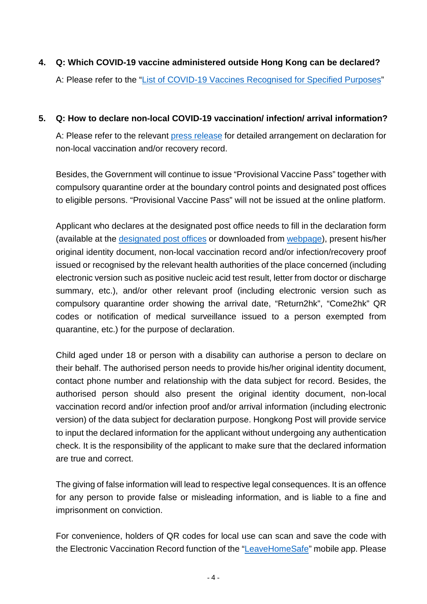**4. Q: Which COVID-19 vaccine administered outside Hong Kong can be declared?** A: Please refer to the ["List of COVID-19 Vaccines Recognised for Specified Purposes"](https://www.coronavirus.gov.hk/pdf/list_of_recognised_covid19_vaccines.pdf)

### **5. Q: How to declare non-local COVID-19 vaccination/ infection/ arrival information?**

A: Please refer to the relevant [press release](https://www.info.gov.hk/gia/general/202205/19/P2022051900602.htm) for detailed arrangement on declaration for non-local vaccination and/or recovery record.

Besides, the Government will continue to issue "Provisional Vaccine Pass" together with compulsory quarantine order at the boundary control points and designated post offices to eligible persons. "Provisional Vaccine Pass" will not be issued at the online platform.

Applicant who declares at the designated post office needs to fill in the declaration form (available at the [designated post offices](https://www.covidvaccine.gov.hk/pdf/nonlocalvaccpo_ENG.pdf) or downloaded from [webpage\)](https://www.covidvaccine.gov.hk/pdf/nonlocalrecordvpqr_EN.pdf), present his/her original identity document, non-local vaccination record and/or infection/recovery proof issued or recognised by the relevant health authorities of the place concerned (including electronic version such as positive nucleic acid test result, letter from doctor or discharge summary, etc.), and/or other relevant proof (including electronic version such as compulsory quarantine order showing the arrival date, "Return2hk", "Come2hk" QR codes or notification of medical surveillance issued to a person exempted from quarantine, etc.) for the purpose of declaration.

Child aged under 18 or person with a disability can authorise a person to declare on their behalf. The authorised person needs to provide his/her original identity document, contact phone number and relationship with the data subject for record. Besides, the authorised person should also present the original identity document, non-local vaccination record and/or infection proof and/or arrival information (including electronic version) of the data subject for declaration purpose. Hongkong Post will provide service to input the declared information for the applicant without undergoing any authentication check. It is the responsibility of the applicant to make sure that the declared information are true and correct.

The giving of false information will lead to respective legal consequences. It is an offence for any person to provide false or misleading information, and is liable to a fine and imprisonment on conviction.

For convenience, holders of QR codes for local use can scan and save the code with the Electronic Vaccination Record function of the ["LeaveHomeSafe"](https://www.leavehomesafe.gov.hk/en/) mobile app. Please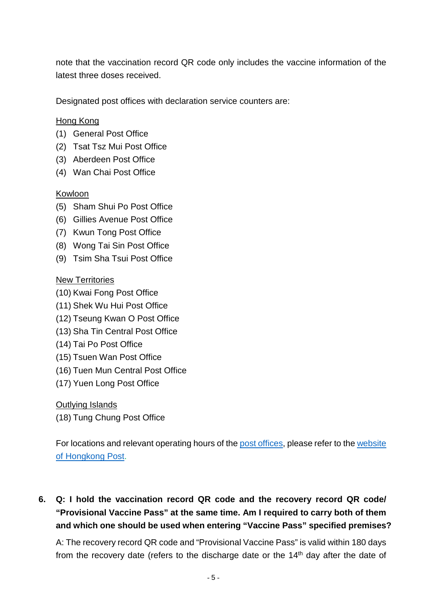note that the vaccination record QR code only includes the vaccine information of the latest three doses received.

Designated post offices with declaration service counters are:

### Hong Kong

- (1) General Post Office
- (2) Tsat Tsz Mui Post Office
- (3) Aberdeen Post Office
- (4) Wan Chai Post Office

#### Kowloon

- (5) Sham Shui Po Post Office
- (6) Gillies Avenue Post Office
- (7) Kwun Tong Post Office
- (8) Wong Tai Sin Post Office
- (9) Tsim Sha Tsui Post Office

#### New Territories

- (10) Kwai Fong Post Office
- (11) Shek Wu Hui Post Office
- (12) Tseung Kwan O Post Office
- (13) Sha Tin Central Post Office
- (14) Tai Po Post Office
- (15) Tsuen Wan Post Office
- (16) Tuen Mun Central Post Office
- (17) Yuen Long Post Office

#### Outlying Islands

(18) Tung Chung Post Office

For locations and relevant operating hours of the [post offices,](https://www.covidvaccine.gov.hk/pdf/nonlocalvaccpo_ENG.pdf) please refer to the [website](https://www.hongkongpost.hk/en/about_us/network/post_offices/index.html#list) [of Hongkong Post.](https://www.hongkongpost.hk/en/about_us/network/post_offices/index.html#list)

# **6. Q: I hold the vaccination record QR code and the recovery record QR code/ "Provisional Vaccine Pass" at the same time. Am I required to carry both of them and which one should be used when entering "Vaccine Pass" specified premises?**

A: The recovery record QR code and "Provisional Vaccine Pass" is valid within 180 days from the recovery date (refers to the discharge date or the 14<sup>th</sup> day after the date of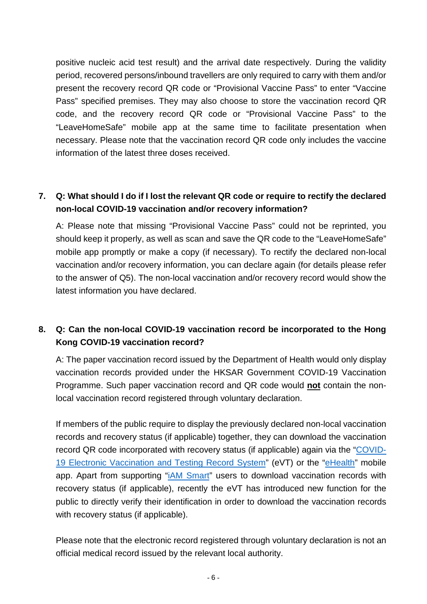positive nucleic acid test result) and the arrival date respectively. During the validity period, recovered persons/inbound travellers are only required to carry with them and/or present the recovery record QR code or "Provisional Vaccine Pass" to enter "Vaccine Pass" specified premises. They may also choose to store the vaccination record QR code, and the recovery record QR code or "Provisional Vaccine Pass" to the "LeaveHomeSafe" mobile app at the same time to facilitate presentation when necessary. Please note that the vaccination record QR code only includes the vaccine information of the latest three doses received.

### **7. Q: What should I do if I lost the relevant QR code or require to rectify the declared non-local COVID-19 vaccination and/or recovery information?**

A: Please note that missing "Provisional Vaccine Pass" could not be reprinted, you should keep it properly, as well as scan and save the QR code to the "LeaveHomeSafe" mobile app promptly or make a copy (if necessary). To rectify the declared non-local vaccination and/or recovery information, you can declare again (for details please refer to the answer of Q5). The non-local vaccination and/or recovery record would show the latest information you have declared.

## **8. Q: Can the non-local COVID-19 vaccination record be incorporated to the Hong Kong COVID-19 vaccination record?**

A: The paper vaccination record issued by the Department of Health would only display vaccination records provided under the HKSAR Government COVID-19 Vaccination Programme. Such paper vaccination record and QR code would **not** contain the nonlocal vaccination record registered through voluntary declaration.

If members of the public require to display the previously declared non-local vaccination records and recovery status (if applicable) together, they can download the vaccination record QR code incorporated with recovery status (if applicable) again via the ["COVID-](https://enq.evt.gov.hk/evt/web/vacchistory.jsp?lang=en-us)[19 Electronic Vaccination and Testing Record System"](https://enq.evt.gov.hk/evt/web/vacchistory.jsp?lang=en-us) (eVT) or the ["eHealth"](https://www.ehealth.gov.hk/en/) mobile app. Apart from supporting ["iAM Smart"](https://www.iamsmart.gov.hk/en/) users to download vaccination records with recovery status (if applicable), recently the eVT has introduced new function for the public to directly verify their identification in order to download the vaccination records with recovery status (if applicable).

Please note that the electronic record registered through voluntary declaration is not an official medical record issued by the relevant local authority.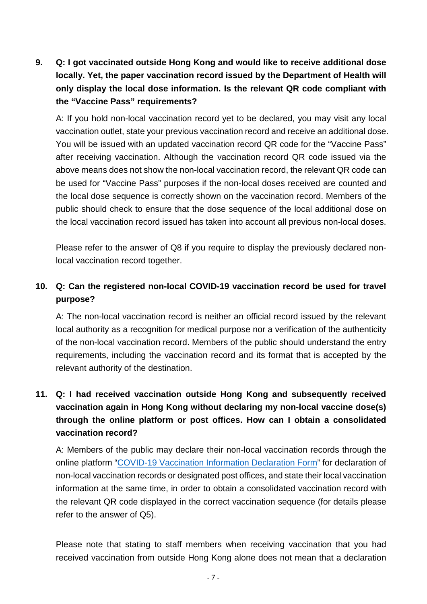**9. Q: I got vaccinated outside Hong Kong and would like to receive additional dose locally. Yet, the paper vaccination record issued by the Department of Health will only display the local dose information. Is the relevant QR code compliant with the "Vaccine Pass" requirements?**

A: If you hold non-local vaccination record yet to be declared, you may visit any local vaccination outlet, state your previous vaccination record and receive an additional dose. You will be issued with an updated vaccination record QR code for the "Vaccine Pass" after receiving vaccination. Although the vaccination record QR code issued via the above means does not show the non-local vaccination record, the relevant QR code can be used for "Vaccine Pass" purposes if the non-local doses received are counted and the local dose sequence is correctly shown on the vaccination record. Members of the public should check to ensure that the dose sequence of the local additional dose on the local vaccination record issued has taken into account all previous non-local doses.

Please refer to the answer of Q8 if you require to display the previously declared nonlocal vaccination record together.

### **10. Q: Can the registered non-local COVID-19 vaccination record be used for travel purpose?**

A: The non-local vaccination record is neither an official record issued by the relevant local authority as a recognition for medical purpose nor a verification of the authenticity of the non-local vaccination record. Members of the public should understand the entry requirements, including the vaccination record and its format that is accepted by the relevant authority of the destination.

## **11. Q: I had received vaccination outside Hong Kong and subsequently received vaccination again in Hong Kong without declaring my non-local vaccine dose(s) through the online platform or post offices. How can I obtain a consolidated vaccination record?**

A: Members of the public may declare their non-local vaccination records through the online platform ["COVID-19 Vaccination Information Declaration Form"](http://www.chp.gov.hk/vac-df/) for declaration of non-local vaccination records or designated post offices, and state their local vaccination information at the same time, in order to obtain a consolidated vaccination record with the relevant QR code displayed in the correct vaccination sequence (for details please refer to the answer of Q5).

Please note that stating to staff members when receiving vaccination that you had received vaccination from outside Hong Kong alone does not mean that a declaration